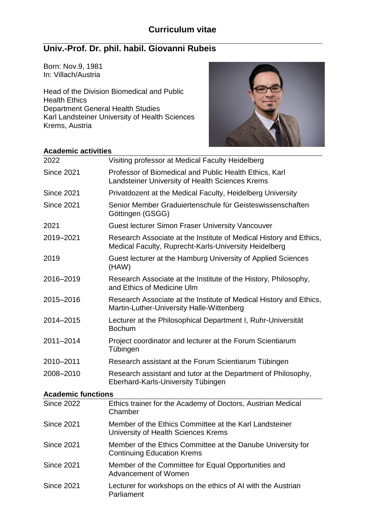# **Univ.-Prof. Dr. phil. habil. Giovanni Rubeis**

Born: Nov.9, 1981 In: Villach/Austria

Head of the Division Biomedical and Public Health Ethics Department General Health Studies Karl Landsteiner University of Health Sciences Krems, Austria



# **Academic activities**

| 2022                      | Visiting professor at Medical Faculty Heidelberg                                                                            |
|---------------------------|-----------------------------------------------------------------------------------------------------------------------------|
| <b>Since 2021</b>         | Professor of Biomedical and Public Health Ethics, Karl<br>Landsteiner University of Health Sciences Krems                   |
| <b>Since 2021</b>         | Privatdozent at the Medical Faculty, Heidelberg University                                                                  |
| <b>Since 2021</b>         | Senior Member Graduiertenschule für Geisteswissenschaften<br>Göttingen (GSGG)                                               |
| 2021                      | <b>Guest lecturer Simon Fraser University Vancouver</b>                                                                     |
| 2019-2021                 | Research Associate at the Institute of Medical History and Ethics,<br>Medical Faculty, Ruprecht-Karls-University Heidelberg |
| 2019                      | Guest lecturer at the Hamburg University of Applied Sciences<br>(HAW)                                                       |
| 2016-2019                 | Research Associate at the Institute of the History, Philosophy,<br>and Ethics of Medicine Ulm                               |
| 2015-2016                 | Research Associate at the Institute of Medical History and Ethics,<br>Martin-Luther-University Halle-Wittenberg             |
| 2014-2015                 | Lecturer at the Philosophical Department I, Ruhr-Universität<br><b>Bochum</b>                                               |
| 2011-2014                 | Project coordinator and lecturer at the Forum Scientiarum<br>Tübingen                                                       |
| 2010-2011                 | Research assistant at the Forum Scientiarum Tübingen                                                                        |
| 2008-2010                 | Research assistant and tutor at the Department of Philosophy,<br>Eberhard-Karls-University Tübingen                         |
| <b>Academic functions</b> |                                                                                                                             |
| <b>Since 2022</b>         | Ethics trainer for the Academy of Doctors, Austrian Medical<br>Chamber                                                      |
| <b>Since 2021</b>         | Member of the Ethics Committee at the Karl Landsteiner<br>University of Health Sciences Krems                               |
| <b>Since 2021</b>         | Member of the Ethics Committee at the Danube University for<br><b>Continuing Education Krems</b>                            |
| <b>Since 2021</b>         | Member of the Committee for Equal Opportunities and<br>Advancement of Women                                                 |
| <b>Since 2021</b>         | Lecturer for workshops on the ethics of AI with the Austrian<br>Parliament                                                  |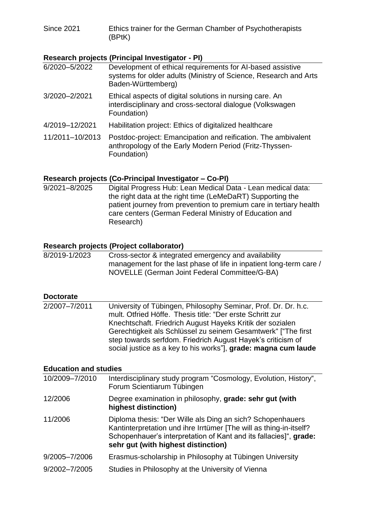Since 2021 Ethics trainer for the German Chamber of Psychotherapists (BPtK)

# **Research projects (Principal Investigator - PI)**

| 6/2020-5/2022   | Development of ethical requirements for AI-based assistive<br>systems for older adults (Ministry of Science, Research and Arts<br>Baden-Württemberg) |
|-----------------|------------------------------------------------------------------------------------------------------------------------------------------------------|
| 3/2020-2/2021   | Ethical aspects of digital solutions in nursing care. An<br>interdisciplinary and cross-sectoral dialogue (Volkswagen<br>Foundation)                 |
| 4/2019-12/2021  | Habilitation project: Ethics of digitalized healthcare                                                                                               |
| 11/2011-10/2013 | Postdoc-project: Emancipation and reification. The ambivalent<br>anthropology of the Early Modern Period (Fritz-Thyssen-<br>Foundation)              |
|                 |                                                                                                                                                      |

# **Research projects (Co-Principal Investigator – Co-PI)**

9/2021–8/2025 Digital Progress Hub: Lean Medical Data - Lean medical data: the right data at the right time (LeMeDaRT) Supporting the patient journey from prevention to premium care in tertiary health care centers (German Federal Ministry of Education and Research)

## **Research projects (Project collaborator)**

| 8/2019-1/2023 | Cross-sector & integrated emergency and availability                |
|---------------|---------------------------------------------------------------------|
|               | management for the last phase of life in inpatient long-term care / |
|               | NOVELLE (German Joint Federal Committee/G-BA)                       |

## **Doctorate**

2/2007–7/2011 University of Tübingen, Philosophy Seminar, Prof. Dr. Dr. h.c. mult. Otfried Höffe. Thesis title: "Der erste Schritt zur Knechtschaft. Friedrich August Hayeks Kritik der sozialen Gerechtigkeit als Schlüssel zu seinem Gesamtwerk" ["The first step towards serfdom. Friedrich August Hayek's criticism of social justice as a key to his works"], **grade: magna cum laude**

## **Education and studies**

| 10/2009-7/2010 | Interdisciplinary study program "Cosmology, Evolution, History",<br>Forum Scientiarum Tübingen                                                                                                                                               |
|----------------|----------------------------------------------------------------------------------------------------------------------------------------------------------------------------------------------------------------------------------------------|
| 12/2006        | Degree examination in philosophy, grade: sehr gut (with<br>highest distinction)                                                                                                                                                              |
| 11/2006        | Diploma thesis: "Der Wille als Ding an sich? Schopenhauers<br>Kantinterpretation und ihre Irrtümer [The will as thing-in-itself?<br>Schopenhauer's interpretation of Kant and its fallacies]", grade:<br>sehr gut (with highest distinction) |
| 9/2005-7/2006  | Erasmus-scholarship in Philosophy at Tübingen University                                                                                                                                                                                     |
| 9/2002-7/2005  | Studies in Philosophy at the University of Vienna                                                                                                                                                                                            |